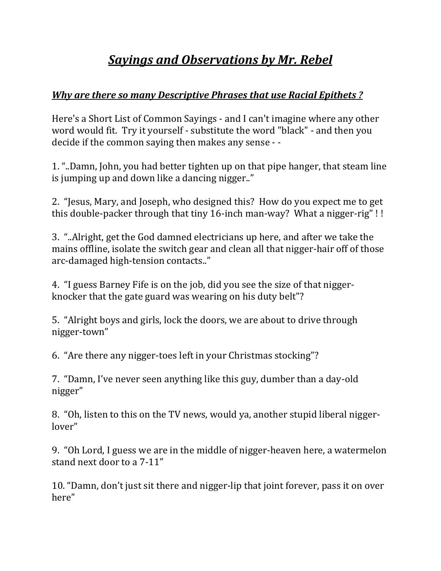## *Sayings and Observations by Mr. Rebel*

## *Why are there so many Descriptive Phrases that use Racial Epithets ?*

Here's a Short List of Common Sayings - and I can't imagine where any other word would fit. Try it yourself - substitute the word "black" - and then you decide if the common saying then makes any sense - -

1. "..Damn, John, you had better tighten up on that pipe hanger, that steam line is jumping up and down like a dancing nigger.."

2. "Jesus, Mary, and Joseph, who designed this? How do you expect me to get this double-packer through that tiny 16-inch man-way? What a nigger-rig"!!

3. "..Alright, get the God damned electricians up here, and after we take the mains offline, isolate the switch gear and clean all that nigger-hair off of those arc-damaged high-tension contacts.."

4. "I guess Barney Fife is on the job, did you see the size of that niggerknocker that the gate guard was wearing on his duty belt"?

5. "Alright boys and girls, lock the doors, we are about to drive through nigger‐town" 

6. "Are there any nigger-toes left in your Christmas stocking"?

7. "Damn, I've never seen anything like this guy, dumber than a day-old nigger" 

8. "Oh, listen to this on the TV news, would ya, another stupid liberal niggerlover" 

9. "Oh Lord, I guess we are in the middle of nigger-heaven here, a watermelon stand next door to a 7-11"

10. "Damn, don't just sit there and nigger-lip that joint forever, pass it on over here"